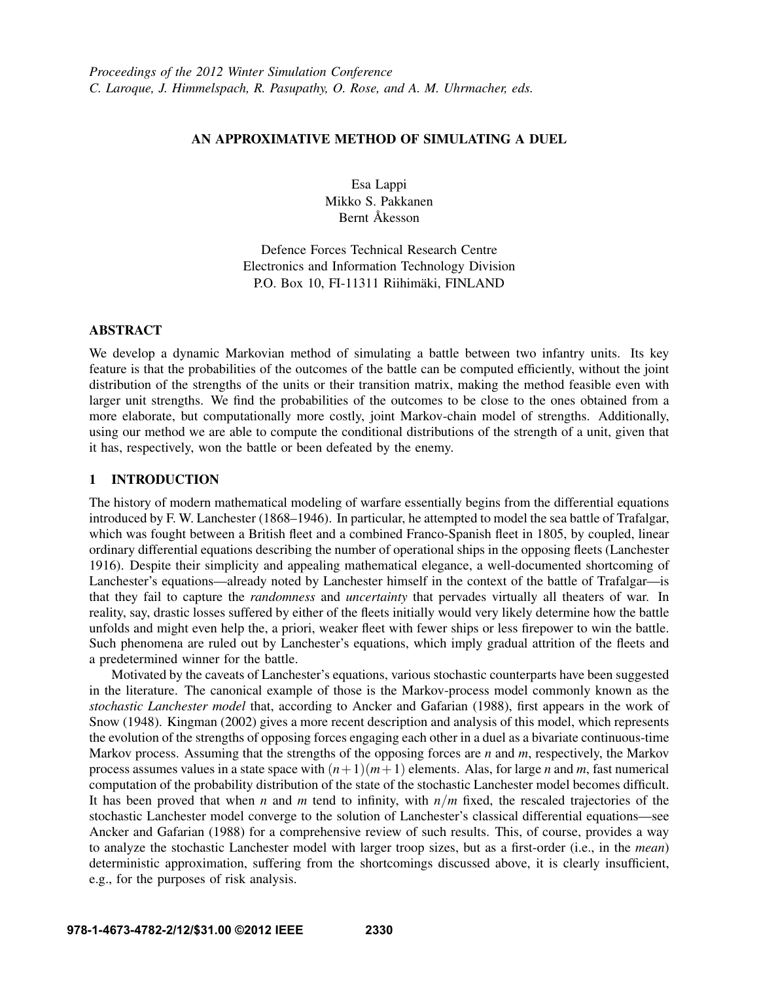## AN APPROXIMATIVE METHOD OF SIMULATING A DUEL

Esa Lappi Mikko S. Pakkanen  $B$ ernt  $Å$ kesson

Defence Forces Technical Research Centre Electronics and Information Technology Division P.O. Box 10, FI-11311 Riihimäki, FINLAND

### ABSTRACT

We develop a dynamic Markovian method of simulating a battle between two infantry units. Its key feature is that the probabilities of the outcomes of the battle can be computed efficiently, without the joint distribution of the strengths of the units or their transition matrix, making the method feasible even with larger unit strengths. We find the probabilities of the outcomes to be close to the ones obtained from a more elaborate, but computationally more costly, joint Markov-chain model of strengths. Additionally, using our method we are able to compute the conditional distributions of the strength of a unit, given that it has, respectively, won the battle or been defeated by the enemy.

# 1 INTRODUCTION

The history of modern mathematical modeling of warfare essentially begins from the differential equations introduced by F. W. Lanchester (1868–1946). In particular, he attempted to model the sea battle of Trafalgar, which was fought between a British fleet and a combined Franco-Spanish fleet in 1805, by coupled, linear ordinary differential equations describing the number of operational ships in the opposing fleets (Lanchester 1916). Despite their simplicity and appealing mathematical elegance, a well-documented shortcoming of Lanchester's equations—already noted by Lanchester himself in the context of the battle of Trafalgar—is that they fail to capture the *randomness* and *uncertainty* that pervades virtually all theaters of war. In reality, say, drastic losses suffered by either of the fleets initially would very likely determine how the battle unfolds and might even help the, a priori, weaker fleet with fewer ships or less firepower to win the battle. Such phenomena are ruled out by Lanchester's equations, which imply gradual attrition of the fleets and a predetermined winner for the battle.

Motivated by the caveats of Lanchester's equations, various stochastic counterparts have been suggested in the literature. The canonical example of those is the Markov-process model commonly known as the *stochastic Lanchester model* that, according to Ancker and Gafarian (1988), first appears in the work of Snow (1948). Kingman (2002) gives a more recent description and analysis of this model, which represents the evolution of the strengths of opposing forces engaging each other in a duel as a bivariate continuous-time Markov process. Assuming that the strengths of the opposing forces are *n* and *m*, respectively, the Markov process assumes values in a state space with  $(n+1)(m+1)$  elements. Alas, for large *n* and *m*, fast numerical computation of the probability distribution of the state of the stochastic Lanchester model becomes difficult. It has been proved that when *n* and *m* tend to infinity, with  $n/m$  fixed, the rescaled trajectories of the stochastic Lanchester model converge to the solution of Lanchester's classical differential equations—see Ancker and Gafarian (1988) for a comprehensive review of such results. This, of course, provides a way to analyze the stochastic Lanchester model with larger troop sizes, but as a first-order (i.e., in the *mean*) deterministic approximation, suffering from the shortcomings discussed above, it is clearly insufficient, e.g., for the purposes of risk analysis.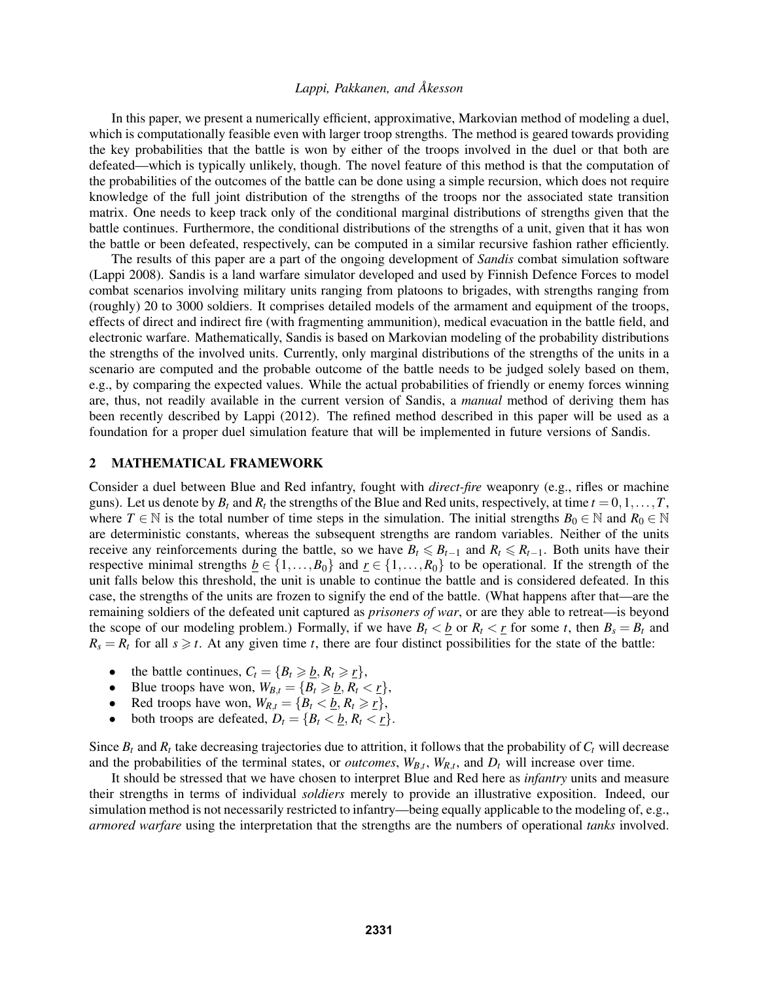In this paper, we present a numerically efficient, approximative, Markovian method of modeling a duel, which is computationally feasible even with larger troop strengths. The method is geared towards providing the key probabilities that the battle is won by either of the troops involved in the duel or that both are defeated—which is typically unlikely, though. The novel feature of this method is that the computation of the probabilities of the outcomes of the battle can be done using a simple recursion, which does not require knowledge of the full joint distribution of the strengths of the troops nor the associated state transition matrix. One needs to keep track only of the conditional marginal distributions of strengths given that the battle continues. Furthermore, the conditional distributions of the strengths of a unit, given that it has won the battle or been defeated, respectively, can be computed in a similar recursive fashion rather efficiently.

The results of this paper are a part of the ongoing development of *Sandis* combat simulation software (Lappi 2008). Sandis is a land warfare simulator developed and used by Finnish Defence Forces to model combat scenarios involving military units ranging from platoons to brigades, with strengths ranging from (roughly) 20 to 3000 soldiers. It comprises detailed models of the armament and equipment of the troops, effects of direct and indirect fire (with fragmenting ammunition), medical evacuation in the battle field, and electronic warfare. Mathematically, Sandis is based on Markovian modeling of the probability distributions the strengths of the involved units. Currently, only marginal distributions of the strengths of the units in a scenario are computed and the probable outcome of the battle needs to be judged solely based on them, e.g., by comparing the expected values. While the actual probabilities of friendly or enemy forces winning are, thus, not readily available in the current version of Sandis, a *manual* method of deriving them has been recently described by Lappi (2012). The refined method described in this paper will be used as a foundation for a proper duel simulation feature that will be implemented in future versions of Sandis.

# 2 MATHEMATICAL FRAMEWORK

Consider a duel between Blue and Red infantry, fought with *direct-fire* weaponry (e.g., rifles or machine guns). Let us denote by  $B_t$  and  $R_t$  the strengths of the Blue and Red units, respectively, at time  $t = 0, 1, \ldots, T$ , where  $T \in \mathbb{N}$  is the total number of time steps in the simulation. The initial strengths  $B_0 \in \mathbb{N}$  and  $R_0 \in \mathbb{N}$ are deterministic constants, whereas the subsequent strengths are random variables. Neither of the units receive any reinforcements during the battle, so we have  $B_t \le B_{t-1}$  and  $R_t \le R_{t-1}$ . Both units have their respective minimal strengths  $\underline{b} \in \{1, \ldots, B_0\}$  and  $\underline{r} \in \{1, \ldots, R_0\}$  to be operational. If the strength of the unit falls below this threshold, the unit is unable to continue the battle and is considered defeated. In this case, the strengths of the units are frozen to signify the end of the battle. (What happens after that—are the remaining soldiers of the defeated unit captured as *prisoners of war*, or are they able to retreat—is beyond the scope of our modeling problem.) Formally, if we have  $B_t < \underline{b}$  or  $R_t < \underline{r}$  for some *t*, then  $B_s = B_t$  and  $R_s = R_t$  for all  $s \geq t$ . At any given time *t*, there are four distinct possibilities for the state of the battle:

- the battle continues,  $C_t = \{B_t \geq b, R_t \geq r\},\$
- Blue troops have won,  $W_{B,t} = \{B_t \geq b, R_t \leq t\},\$
- Red troops have won,  $W_{R,t} = \{B_t < \underline{b}, R_t \geq \underline{r}\},\$
- both troops are defeated,  $D_t = \{B_t < \underline{b}, R_t < \underline{r}\}.$

Since  $B_t$  and  $R_t$  take decreasing trajectories due to attrition, it follows that the probability of  $C_t$  will decrease and the probabilities of the terminal states, or *outcomes*,  $W_{B,t}$ ,  $W_{R,t}$ , and  $D_t$  will increase over time.

It should be stressed that we have chosen to interpret Blue and Red here as *infantry* units and measure their strengths in terms of individual *soldiers* merely to provide an illustrative exposition. Indeed, our simulation method is not necessarily restricted to infantry—being equally applicable to the modeling of, e.g., *armored warfare* using the interpretation that the strengths are the numbers of operational *tanks* involved.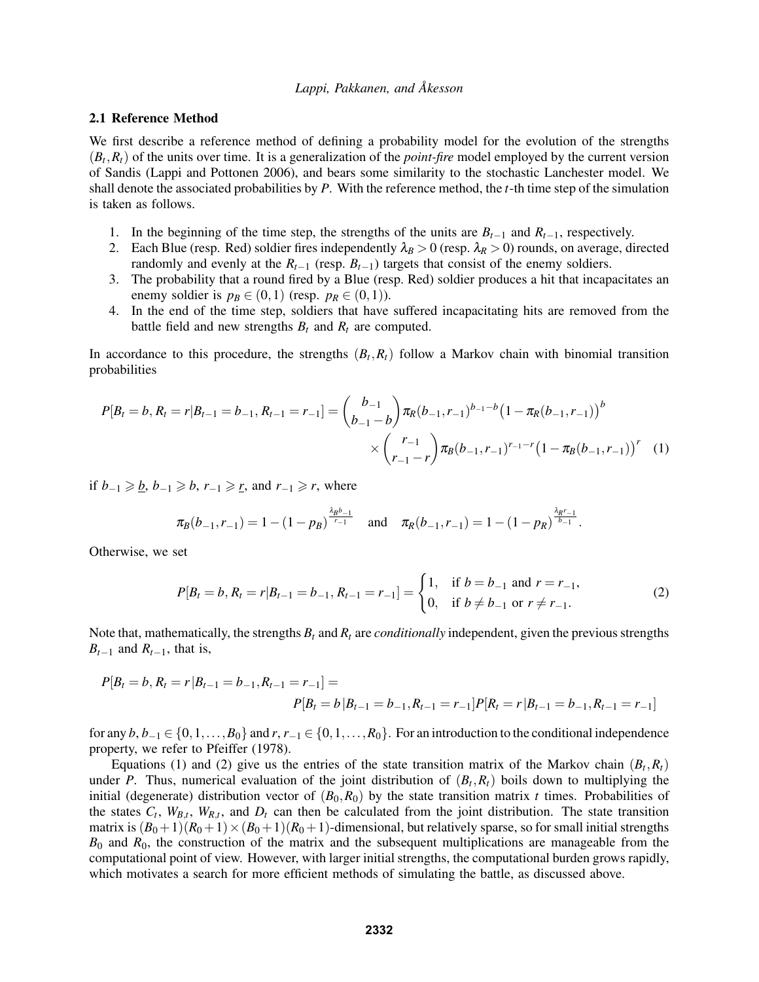### 2.1 Reference Method

We first describe a reference method of defining a probability model for the evolution of the strengths  $(B_t, R_t)$  of the units over time. It is a generalization of the *point-fire* model employed by the current version of Sandis (Lappi and Pottonen 2006), and bears some similarity to the stochastic Lanchester model. We shall denote the associated probabilities by *P*. With the reference method, the *t*-th time step of the simulation is taken as follows.

- 1. In the beginning of the time step, the strengths of the units are  $B_{t-1}$  and  $R_{t-1}$ , respectively.
- 2. Each Blue (resp. Red) soldier fires independently  $\lambda_B > 0$  (resp.  $\lambda_R > 0$ ) rounds, on average, directed randomly and evenly at the  $R_{t-1}$  (resp.  $B_{t-1}$ ) targets that consist of the enemy soldiers.
- 3. The probability that a round fired by a Blue (resp. Red) soldier produces a hit that incapacitates an enemy soldier is  $p_B \in (0,1)$  (resp.  $p_R \in (0,1)$ ).
- 4. In the end of the time step, soldiers that have suffered incapacitating hits are removed from the battle field and new strengths  $B_t$  and  $R_t$  are computed.

In accordance to this procedure, the strengths  $(B_t, R_t)$  follow a Markov chain with binomial transition probabilities

$$
P[B_t = b, R_t = r | B_{t-1} = b_{-1}, R_{t-1} = r_{-1}] = {b_{-1} \choose b_{-1} - b} \pi_R(b_{-1}, r_{-1})^{b_{-1} - b} \left(1 - \pi_R(b_{-1}, r_{-1})\right)^b
$$

$$
\times {r_{-1} \choose r_{-1} - r} \pi_B(b_{-1}, r_{-1})^{r_{-1} - r} \left(1 - \pi_B(b_{-1}, r_{-1})\right)^r \tag{1}
$$

if *b*<sub>−1</sub>  $\geq b$ , *b*<sub>−1</sub>  $\geq b$ , *r*<sub>−1</sub>  $\geq$  *r*, and *r*<sub>−1</sub>  $\geq$  *r*, where

$$
\pi_B(b_{-1},r_{-1})=1-(1-p_B)^{\frac{\lambda_B b_{-1}}{r_{-1}}}\quad\text{and}\quad\pi_R(b_{-1},r_{-1})=1-(1-p_R)^{\frac{\lambda_R r_{-1}}{b_{-1}}}.
$$

Otherwise, we set

$$
P[B_t = b, R_t = r | B_{t-1} = b_{-1}, R_{t-1} = r_{-1}] = \begin{cases} 1, & \text{if } b = b_{-1} \text{ and } r = r_{-1}, \\ 0, & \text{if } b \neq b_{-1} \text{ or } r \neq r_{-1}. \end{cases}
$$
(2)

Note that, mathematically, the strengths  $B_t$  and  $R_t$  are *conditionally* independent, given the previous strengths  $B_{t-1}$  and  $R_{t-1}$ , that is,

$$
P[B_t = b, R_t = r | B_{t-1} = b_{-1}, R_{t-1} = r_{-1}] =
$$
  

$$
P[B_t = b | B_{t-1} = b_{-1}, R_{t-1} = r_{-1}] P[R_t = r | B_{t-1} = b_{-1}, R_{t-1} = r_{-1}]
$$

for any  $b, b_{-1} \in \{0, 1, \ldots, B_0\}$  and  $r, r_{-1} \in \{0, 1, \ldots, R_0\}$ . For an introduction to the conditional independence property, we refer to Pfeiffer (1978).

Equations (1) and (2) give us the entries of the state transition matrix of the Markov chain  $(B_t, R_t)$ under *P*. Thus, numerical evaluation of the joint distribution of  $(B_t, R_t)$  boils down to multiplying the initial (degenerate) distribution vector of  $(B_0, R_0)$  by the state transition matrix *t* times. Probabilities of the states  $C_t$ ,  $W_{B,t}$ ,  $W_{R,t}$ , and  $D_t$  can then be calculated from the joint distribution. The state transition matrix is  $(B_0+1)(R_0+1) \times (B_0+1)(R_0+1)$ -dimensional, but relatively sparse, so for small initial strengths *B*<sup>0</sup> and *R*0, the construction of the matrix and the subsequent multiplications are manageable from the computational point of view. However, with larger initial strengths, the computational burden grows rapidly, which motivates a search for more efficient methods of simulating the battle, as discussed above.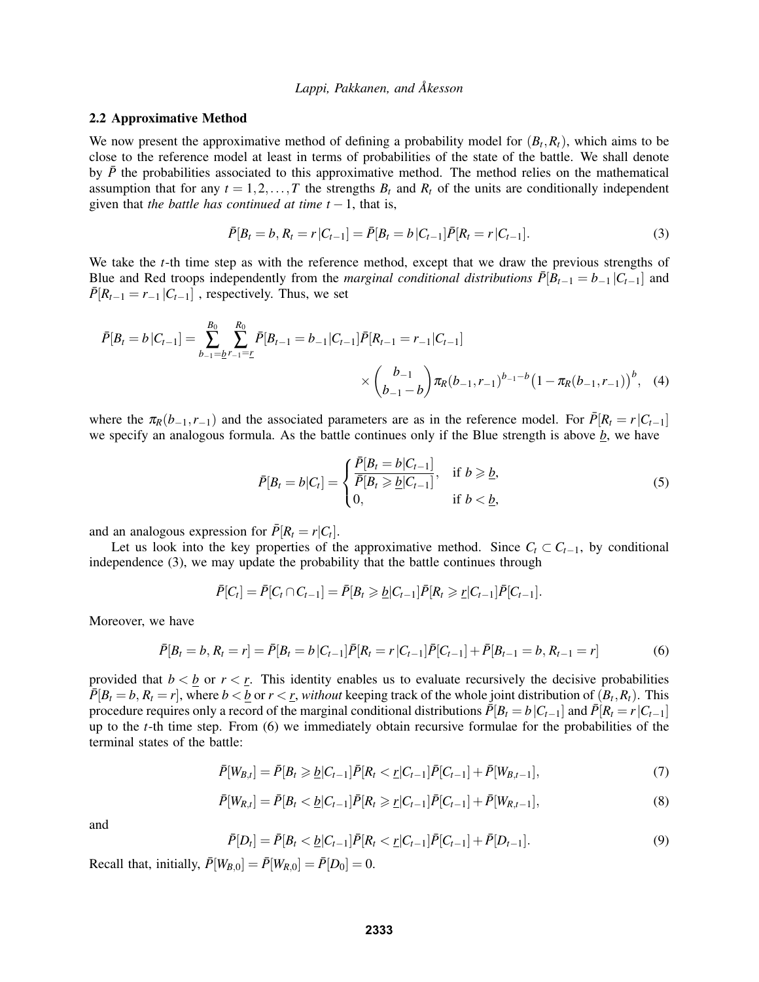### 2.2 Approximative Method

We now present the approximative method of defining a probability model for  $(B_t, R_t)$ , which aims to be close to the reference model at least in terms of probabilities of the state of the battle. We shall denote by  $\bar{P}$  the probabilities associated to this approximative method. The method relies on the mathematical assumption that for any  $t = 1, 2, ..., T$  the strengths  $B_t$  and  $R_t$  of the units are conditionally independent given that *the battle has continued at time t*  $-1$ , that is,

$$
\bar{P}[B_t = b, R_t = r | C_{t-1}] = \bar{P}[B_t = b | C_{t-1}] \bar{P}[R_t = r | C_{t-1}].
$$
\n(3)

We take the *t*-th time step as with the reference method, except that we draw the previous strengths of Blue and Red troops independently from the *marginal conditional distributions*  $\bar{P}[B_{t-1} = b_{-1} | C_{t-1}]$  and  $\overline{P}[R_{t-1} = r_{-1} | C_{t-1}]$ , respectively. Thus, we set

$$
\bar{P}[B_t = b | C_{t-1}] = \sum_{b_{-1} = b}^{B_0} \sum_{r_{-1} = r}^{R_0} \bar{P}[B_{t-1} = b_{-1} | C_{t-1}] \bar{P}[R_{t-1} = r_{-1} | C_{t-1}]
$$
\n
$$
\times \left(\begin{array}{c} b_{-1} \\ b_{-1} - b \end{array}\right) \pi_R(b_{-1}, r_{-1})^{b_{-1} - b} \left(1 - \pi_R(b_{-1}, r_{-1})\right)^b, \quad (4)
$$

where the  $\pi_R(b_{-1}, r_{-1})$  and the associated parameters are as in the reference model. For  $\bar{P}[R_t = r|C_{t-1}]$ we specify an analogous formula. As the battle continues only if the Blue strength is above *b*, we have

$$
\bar{P}[B_t = b|C_t] = \begin{cases} \frac{\bar{P}[B_t = b|C_{t-1}]}{\bar{P}[B_t \ge b|C_{t-1}]}, & \text{if } b \ge b, \\ 0, & \text{if } b < \underline{b}, \end{cases}
$$
(5)

and an analogous expression for  $\bar{P}[R_t = r|C_t]$ .

Let us look into the key properties of the approximative method. Since  $C_t \subset C_{t-1}$ , by conditional independence (3), we may update the probability that the battle continues through

$$
\bar{P}[C_t] = \bar{P}[C_t \cap C_{t-1}] = \bar{P}[B_t \geq \underline{b}|C_{t-1}] \bar{P}[R_t \geq \underline{r}|C_{t-1}] \bar{P}[C_{t-1}].
$$

Moreover, we have

$$
\bar{P}[B_t = b, R_t = r] = \bar{P}[B_t = b | C_{t-1}] \bar{P}[R_t = r | C_{t-1}] \bar{P}[C_{t-1}] + \bar{P}[B_{t-1} = b, R_{t-1} = r]
$$
(6)

provided that  $b < b$  or  $r < r$ . This identity enables us to evaluate recursively the decisive probabilities  $\overline{P}[B_t = b, R_t = r]$ , where  $b < \underline{b}$  or  $r < \underline{r}$ , without keeping track of the whole joint distribution of  $(B_t, R_t)$ . This procedure requires only a record of the marginal conditional distributions  $\bar{P}[B_t = b | C_{t-1}]$  and  $\bar{P}[R_t = r | C_{t-1}]$ up to the *t*-th time step. From (6) we immediately obtain recursive formulae for the probabilities of the terminal states of the battle:

$$
\bar{P}[W_{B,t}] = \bar{P}[B_t \geq b|C_{t-1}]\bar{P}[R_t < \underline{r}|C_{t-1}]\bar{P}[C_{t-1}] + \bar{P}[W_{B,t-1}],\tag{7}
$$

$$
\bar{P}[W_{R,t}] = \bar{P}[B_t < \underline{b}|C_{t-1}]\bar{P}[R_t \geq \underline{r}|C_{t-1}]\bar{P}[C_{t-1}] + \bar{P}[W_{R,t-1}],\tag{8}
$$

and

$$
\bar{P}[D_t] = \bar{P}[B_t < \underline{b}|C_{t-1}]\bar{P}[R_t < \underline{r}|C_{t-1}]\bar{P}[C_{t-1}] + \bar{P}[D_{t-1}].\tag{9}
$$

Recall that, initially,  $\bar{P}[W_{B,0}] = \bar{P}[W_{R,0}] = \bar{P}[D_0] = 0.$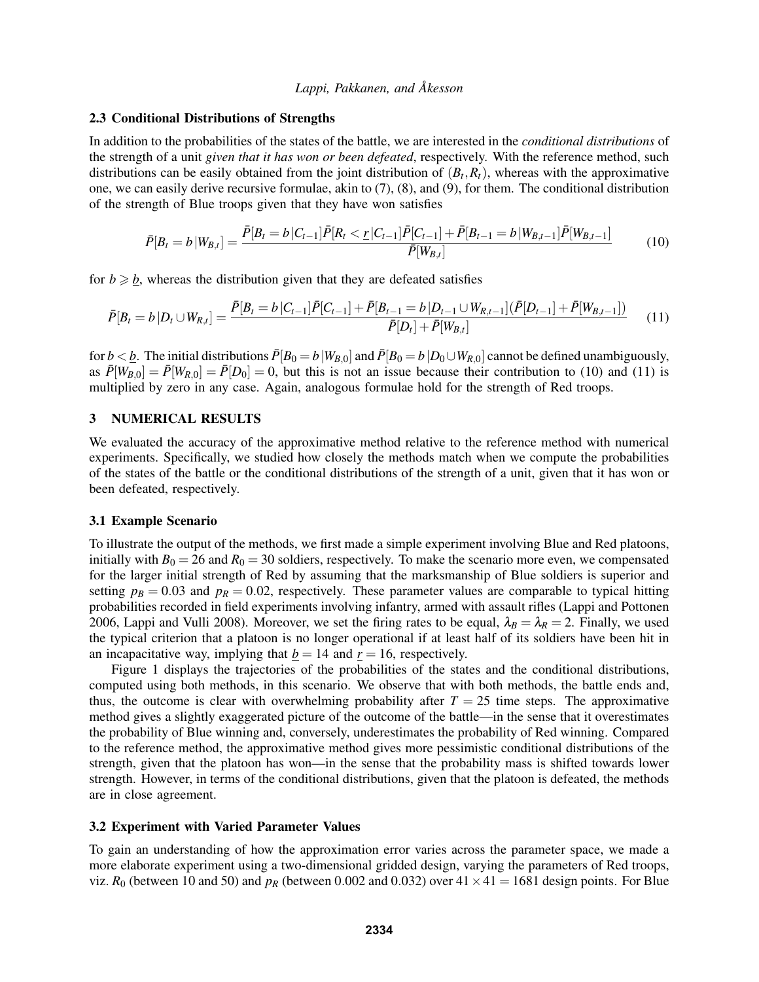### 2.3 Conditional Distributions of Strengths

In addition to the probabilities of the states of the battle, we are interested in the *conditional distributions* of the strength of a unit *given that it has won or been defeated*, respectively. With the reference method, such distributions can be easily obtained from the joint distribution of  $(B_t, R_t)$ , whereas with the approximative one, we can easily derive recursive formulae, akin to (7), (8), and (9), for them. The conditional distribution of the strength of Blue troops given that they have won satisfies

$$
\bar{P}[B_t = b | W_{B,t}] = \frac{\bar{P}[B_t = b | C_{t-1}] \bar{P}[R_t < \underline{r} | C_{t-1}] \bar{P}[C_{t-1}] + \bar{P}[B_{t-1} = b | W_{B,t-1}] \bar{P}[W_{B,t-1}]}{\bar{P}[W_{B,t}]}
$$
\n
$$
(10)
$$

for  $b \geq b$ , whereas the distribution given that they are defeated satisfies

$$
\bar{P}[B_t = b | D_t \cup W_{R,t}] = \frac{\bar{P}[B_t = b | C_{t-1}] \bar{P}[C_{t-1}] + \bar{P}[B_{t-1} = b | D_{t-1} \cup W_{R,t-1}] (\bar{P}[D_{t-1}] + \bar{P}[W_{B,t-1}])}{\bar{P}[D_t] + \bar{P}[W_{R,t}]} \tag{11}
$$

for  $b < \underline{b}$ . The initial distributions  $\overline{P}[B_0 = b | W_{B,0}]$  and  $\overline{P}[B_0 = b | D_0 \cup W_{R,0}]$  cannot be defined unambiguously, as  $\bar{P}[W_{B,0}] = \bar{P}[W_{R,0}] = \bar{P}[D_0] = 0$ , but this is not an issue because their contribution to (10) and (11) is multiplied by zero in any case. Again, analogous formulae hold for the strength of Red troops.

#### 3 NUMERICAL RESULTS

We evaluated the accuracy of the approximative method relative to the reference method with numerical experiments. Specifically, we studied how closely the methods match when we compute the probabilities of the states of the battle or the conditional distributions of the strength of a unit, given that it has won or been defeated, respectively.

### 3.1 Example Scenario

To illustrate the output of the methods, we first made a simple experiment involving Blue and Red platoons, initially with  $B_0 = 26$  and  $R_0 = 30$  soldiers, respectively. To make the scenario more even, we compensated for the larger initial strength of Red by assuming that the marksmanship of Blue soldiers is superior and setting  $p_B = 0.03$  and  $p_R = 0.02$ , respectively. These parameter values are comparable to typical hitting probabilities recorded in field experiments involving infantry, armed with assault rifles (Lappi and Pottonen 2006, Lappi and Vulli 2008). Moreover, we set the firing rates to be equal,  $\lambda_B = \lambda_R = 2$ . Finally, we used the typical criterion that a platoon is no longer operational if at least half of its soldiers have been hit in an incapacitative way, implying that  $b = 14$  and  $r = 16$ , respectively.

Figure 1 displays the trajectories of the probabilities of the states and the conditional distributions, computed using both methods, in this scenario. We observe that with both methods, the battle ends and, thus, the outcome is clear with overwhelming probability after  $T = 25$  time steps. The approximative method gives a slightly exaggerated picture of the outcome of the battle—in the sense that it overestimates the probability of Blue winning and, conversely, underestimates the probability of Red winning. Compared to the reference method, the approximative method gives more pessimistic conditional distributions of the strength, given that the platoon has won—in the sense that the probability mass is shifted towards lower strength. However, in terms of the conditional distributions, given that the platoon is defeated, the methods are in close agreement.

### 3.2 Experiment with Varied Parameter Values

To gain an understanding of how the approximation error varies across the parameter space, we made a more elaborate experiment using a two-dimensional gridded design, varying the parameters of Red troops, viz.  $R_0$  (between 10 and 50) and  $p_R$  (between 0.002 and 0.032) over  $41 \times 41 = 1681$  design points. For Blue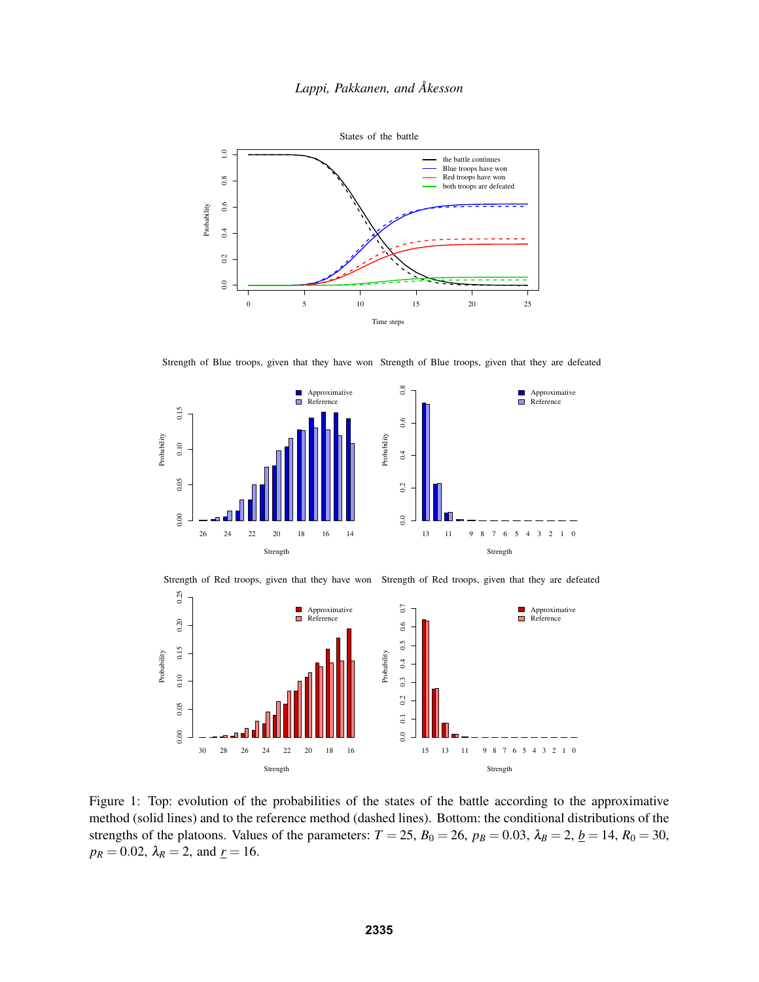

Strength of Blue troops, given that they have won Strength of Blue troops, given that they are defeated



Strength of Red troops, given that they have won Strength of Red troops, given that they are defeated



Figure 1: Top: evolution of the probabilities of the states of the battle according to the approximative method (solid lines) and to the reference method (dashed lines). Bottom: the conditional distributions of the strengths of the platoons. Values of the parameters:  $T = 25$ ,  $B_0 = 26$ ,  $p_B = 0.03$ ,  $\lambda_B = 2$ ,  $\underline{b} = 14$ ,  $R_0 = 30$ ,  $p_R = 0.02$ ,  $\lambda_R = 2$ , and  $r = 16$ .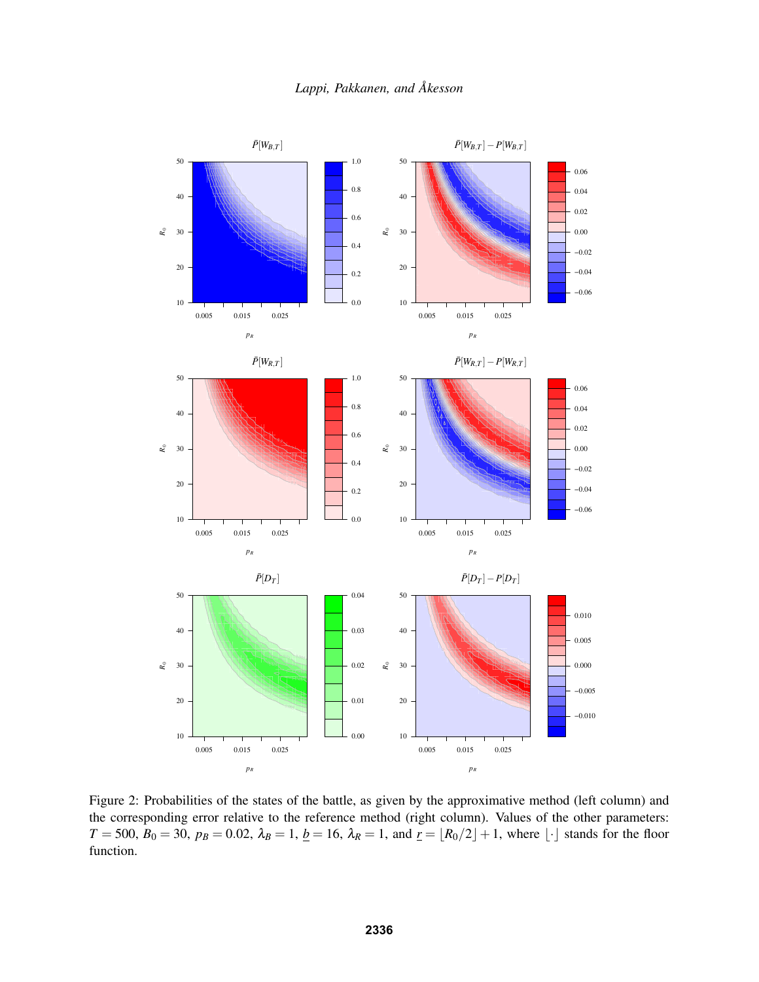



Figure 2: Probabilities of the states of the battle, as given by the approximative method (left column) and the corresponding error relative to the reference method (right column). Values of the other parameters:  $T = 500$ ,  $B_0 = 30$ ,  $p_B = 0.02$ ,  $\lambda_B = 1$ ,  $b = 16$ ,  $\lambda_R = 1$ , and  $r = \lfloor R_0/2 \rfloor + 1$ , where  $\lfloor \cdot \rfloor$  stands for the floor function.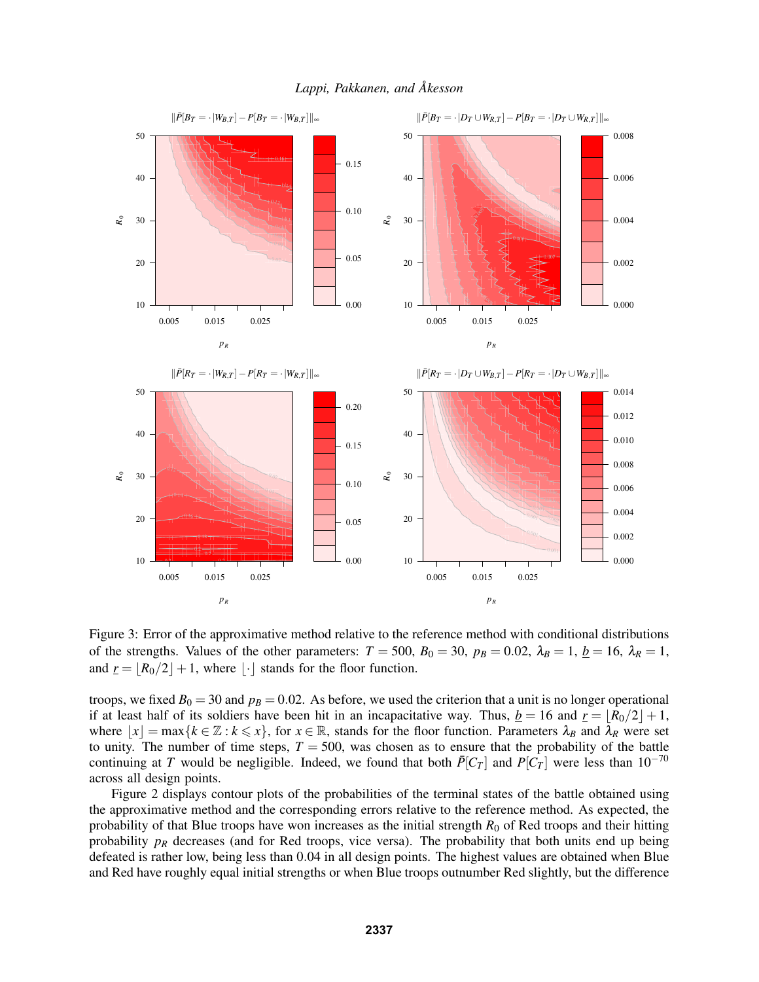

Figure 3: Error of the approximative method relative to the reference method with conditional distributions of the strengths. Values of the other parameters:  $T = 500$ ,  $B_0 = 30$ ,  $p_B = 0.02$ ,  $\lambda_B = 1$ ,  $b = 16$ ,  $\lambda_R = 1$ , and  $\underline{r} = |R_0/2| + 1$ , where  $|\cdot|$  stands for the floor function.

troops, we fixed  $B_0 = 30$  and  $p_B = 0.02$ . As before, we used the criterion that a unit is no longer operational if at least half of its soldiers have been hit in an incapacitative way. Thus,  $b = 16$  and  $r = \lfloor R_0/2 \rfloor + 1$ , where  $|x| = \max\{k \in \mathbb{Z} : k \leq x\}$ , for  $x \in \mathbb{R}$ , stands for the floor function. Parameters  $\lambda_B$  and  $\lambda_R$  were set to unity. The number of time steps,  $T = 500$ , was chosen as to ensure that the probability of the battle continuing at *T* would be negligible. Indeed, we found that both  $\bar{P}[C_T]$  and  $P[C_T]$  were less than 10<sup>-70</sup> across all design points.

Figure 2 displays contour plots of the probabilities of the terminal states of the battle obtained using the approximative method and the corresponding errors relative to the reference method. As expected, the probability of that Blue troops have won increases as the initial strength  $R_0$  of Red troops and their hitting probability  $p_R$  decreases (and for Red troops, vice versa). The probability that both units end up being defeated is rather low, being less than 0.04 in all design points. The highest values are obtained when Blue and Red have roughly equal initial strengths or when Blue troops outnumber Red slightly, but the difference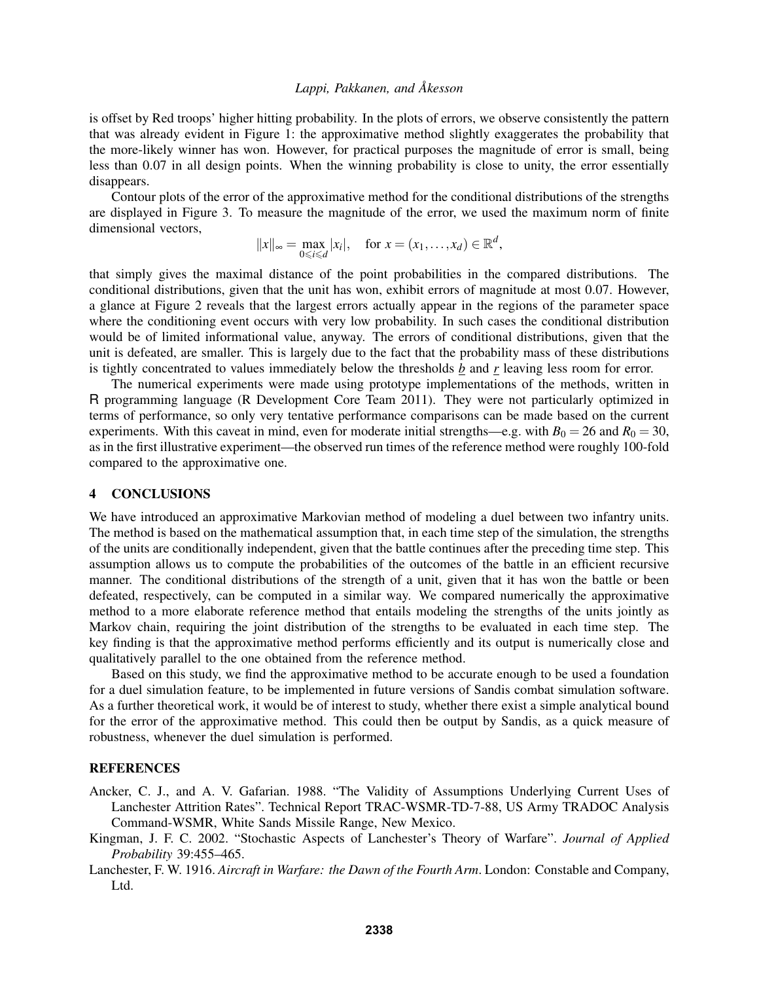is offset by Red troops' higher hitting probability. In the plots of errors, we observe consistently the pattern that was already evident in Figure 1: the approximative method slightly exaggerates the probability that the more-likely winner has won. However, for practical purposes the magnitude of error is small, being less than 0.07 in all design points. When the winning probability is close to unity, the error essentially disappears.

Contour plots of the error of the approximative method for the conditional distributions of the strengths are displayed in Figure 3. To measure the magnitude of the error, we used the maximum norm of finite dimensional vectors,

$$
||x||_{\infty} = \max_{0 \le i \le d} |x_i|, \quad \text{for } x = (x_1, \dots, x_d) \in \mathbb{R}^d,
$$

that simply gives the maximal distance of the point probabilities in the compared distributions. The conditional distributions, given that the unit has won, exhibit errors of magnitude at most 0.07. However, a glance at Figure 2 reveals that the largest errors actually appear in the regions of the parameter space where the conditioning event occurs with very low probability. In such cases the conditional distribution would be of limited informational value, anyway. The errors of conditional distributions, given that the unit is defeated, are smaller. This is largely due to the fact that the probability mass of these distributions is tightly concentrated to values immediately below the thresholds *b* and *r* leaving less room for error.

The numerical experiments were made using prototype implementations of the methods, written in R programming language (R Development Core Team 2011). They were not particularly optimized in terms of performance, so only very tentative performance comparisons can be made based on the current experiments. With this caveat in mind, even for moderate initial strengths—e.g. with  $B_0 = 26$  and  $R_0 = 30$ , as in the first illustrative experiment—the observed run times of the reference method were roughly 100-fold compared to the approximative one.

## 4 CONCLUSIONS

We have introduced an approximative Markovian method of modeling a duel between two infantry units. The method is based on the mathematical assumption that, in each time step of the simulation, the strengths of the units are conditionally independent, given that the battle continues after the preceding time step. This assumption allows us to compute the probabilities of the outcomes of the battle in an efficient recursive manner. The conditional distributions of the strength of a unit, given that it has won the battle or been defeated, respectively, can be computed in a similar way. We compared numerically the approximative method to a more elaborate reference method that entails modeling the strengths of the units jointly as Markov chain, requiring the joint distribution of the strengths to be evaluated in each time step. The key finding is that the approximative method performs efficiently and its output is numerically close and qualitatively parallel to the one obtained from the reference method.

Based on this study, we find the approximative method to be accurate enough to be used a foundation for a duel simulation feature, to be implemented in future versions of Sandis combat simulation software. As a further theoretical work, it would be of interest to study, whether there exist a simple analytical bound for the error of the approximative method. This could then be output by Sandis, as a quick measure of robustness, whenever the duel simulation is performed.

### **REFERENCES**

- Ancker, C. J., and A. V. Gafarian. 1988. "The Validity of Assumptions Underlying Current Uses of Lanchester Attrition Rates". Technical Report TRAC-WSMR-TD-7-88, US Army TRADOC Analysis Command-WSMR, White Sands Missile Range, New Mexico.
- Kingman, J. F. C. 2002. "Stochastic Aspects of Lanchester's Theory of Warfare". *Journal of Applied Probability* 39:455–465.
- Lanchester, F. W. 1916. *Aircraft in Warfare: the Dawn of the Fourth Arm*. London: Constable and Company, Ltd.